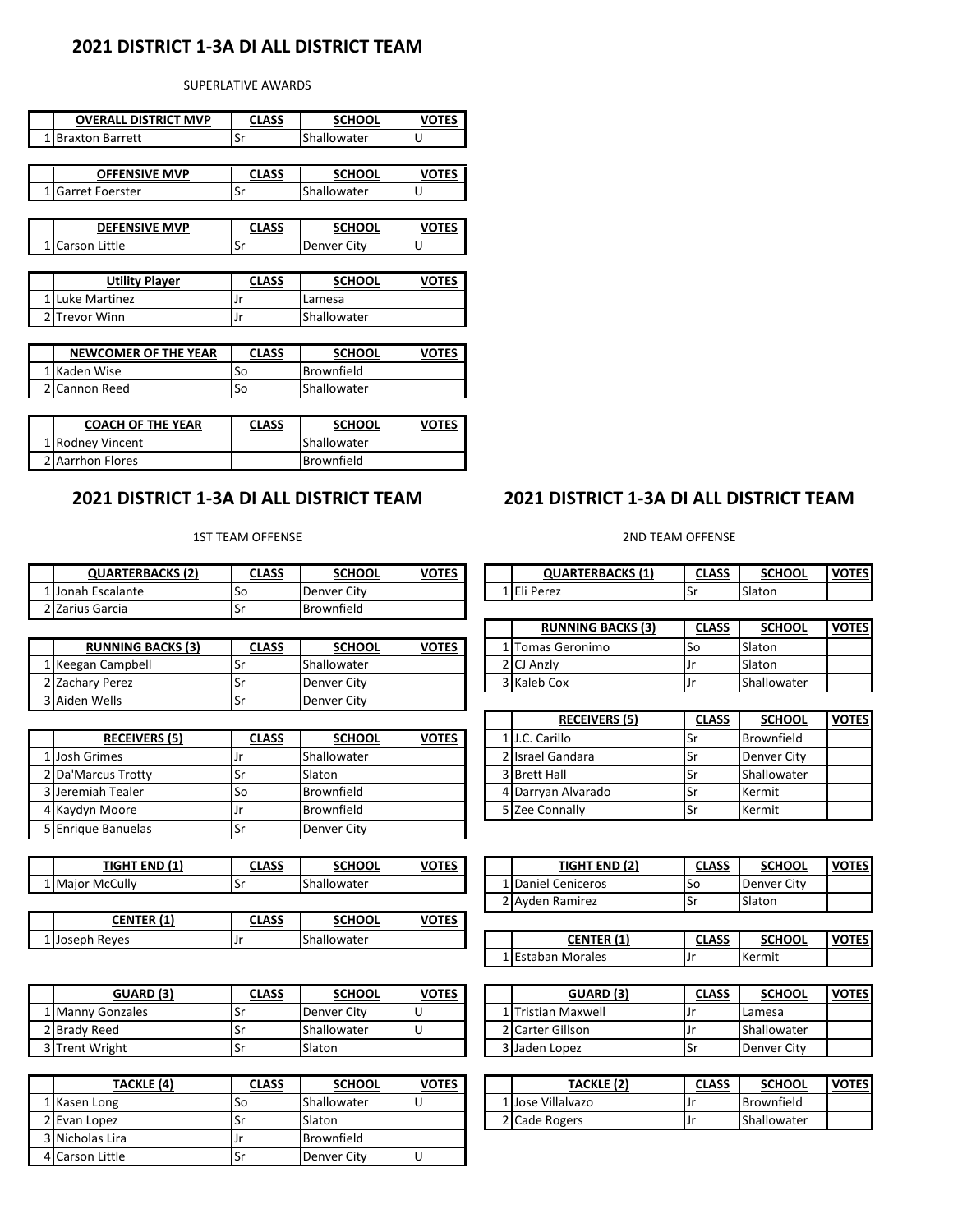## **2021 DISTRICT 1-3A DI ALL DISTRICT TEAM**

#### SUPERLATIVE AWARDS

| <b>OVERALL DISTRICT MVP</b> | CLASS |             |  |  |
|-----------------------------|-------|-------------|--|--|
| <b>Braxton Barrett</b>      | Sr    | Shallowater |  |  |

| <b>OFFENSIVE MVP</b> | CLASS         | <b>SCHOOL</b> |  |  |
|----------------------|---------------|---------------|--|--|
| . lGarret Foerster   | $ \sim$<br>эı | Shallowater   |  |  |
|                      |               |               |  |  |

| <b>DEFENSIVE MVP</b>     | CI VCC | <b>SCHOOL</b> |  |  |
|--------------------------|--------|---------------|--|--|
| Little<br><b>ICarson</b> | э١     | Denver        |  |  |

| <b>Utility Player</b> | <b>CLASS</b> | <b>SCHOOL</b> | VOTES |
|-----------------------|--------------|---------------|-------|
| 1 Luke Martinez       |              | Lamesa        |       |
| 2 Trevor Winn         |              | Shallowater   |       |

| NEWCOMER OF THE YEAR | CLASS | <b>SCHOOL</b> | <b>VOTES</b> |
|----------------------|-------|---------------|--------------|
| 1 Kaden Wise         | So    | Brownfield    |              |
| ! Cannon Reed        | So    | Shallowater   |              |

| <b>COACH OF THE YEAR</b> | <b>CLASS</b> | <b>SCHOOL</b> | <b>VOTES</b> |
|--------------------------|--------------|---------------|--------------|
| 1 Rodney Vincent         |              | Shallowater   |              |
| 2 Aarrhon Flores         |              | Brownfield    |              |

## **2021 DISTRICT 1-3A DI ALL DISTRICT TEAM**

#### 1ST TEAM OFFENSE

| <b>QUARTERBACKS (2)</b> | CLASS | SCHOOL      | <b>VOTES</b> |  | <b>QUARTERBACKS (1)</b> | <b>CLASS</b> | <b>SCHOOL</b> | <b>VOTES</b> |
|-------------------------|-------|-------------|--------------|--|-------------------------|--------------|---------------|--------------|
| Escalante<br>. IJonah F | ۱Sc   | Denver City |              |  | <b>IEli Perez</b>       | .<br>.       | Slaton        |              |
| 2 IZarius Garcia        | ٦٥.   | Brownfield  |              |  |                         |              |               |              |

| <b>RUNNING BACKS (3)</b> | <u>CLASS</u> | <b>SCHOOL</b> | <b>VOTES</b> |  | l lTomas Geronimo | lSo | Slaton      |
|--------------------------|--------------|---------------|--------------|--|-------------------|-----|-------------|
| 1 Keegan Campbell        |              | Shallowater   |              |  | 2 ICJ Anzlv       |     | Slaton      |
| 2 IZacharv Perez         | اد           | Denver City   |              |  | 3 Kaleb Cox       | .Jr | Shallowater |
| 3 Aiden Wells            | ы            | Denver City   |              |  |                   |     |             |

| <b>RECEIVERS (5)</b> | <b>CLASS</b> | <b>SCHOOL</b> | <b>VOTES</b> |  | 1 J.C. Carillo     | ۱Sr | Brownfield         |
|----------------------|--------------|---------------|--------------|--|--------------------|-----|--------------------|
| 1 Josh Grimes        |              | Shallowater   |              |  | 2 Israel Gandara   | ۱Sr | <b>Denver City</b> |
| 2 Da'Marcus Trotty   | ۱Sr          | Slaton        |              |  | 3 Brett Hall       | .Sr | Shallowater        |
| 3 Jeremiah Tealer    | So           | Brownfield    |              |  | 4 Darryan Alvarado | ۱Sr | Kermit             |
| 4 Kaydyn Moore       | .Jr          | Brownfield    |              |  | 5 Zee Connally     | ۱Sr | Kermit             |
| 5 Enrique Banuelas   | ۰Sr          | Denver City   |              |  |                    |     |                    |

| $\mathbf{z}$<br><b>TIGHT END</b><br>. | <b>CLASS</b> | <b>SCHOOL</b>                | <b>VOTES</b> | (2)<br><b>TIGHT END</b> | CLASS<br>$\sim$ | <b>SCHOOL</b>    |
|---------------------------------------|--------------|------------------------------|--------------|-------------------------|-----------------|------------------|
| McCully<br>L Maior                    | . .          | $\sim$<br><b>Shallowater</b> |              | Daniel<br>Ceniceros     | סכו             | City<br>Denver ' |

| .<br><b>CENTER</b> | C.000<br>CLASS | SCHOOL             | <b>VOTES</b> |  |               |              |               |                     |
|--------------------|----------------|--------------------|--------------|--|---------------|--------------|---------------|---------------------|
| Reves<br>L IJoseph |                | <b>Shallowater</b> |              |  | <b>CENTER</b> | <b>CLASS</b> | <b>SCHOOL</b> | <b>VOTES</b><br>. . |

| <b>GUARD (3)</b>   | CLASS | <b>SCHOOL</b> | <b>VOTES</b> |  | GUARD (3)            | <b>CLASS</b> | <b>SCHOOL</b>      |
|--------------------|-------|---------------|--------------|--|----------------------|--------------|--------------------|
| 1   Manny Gonzales |       | Denver City   |              |  | LlTristian Maxwell   | ıJr          | Lamesa             |
| 2 Brady Reed       |       | Shallowater   |              |  | ? Carter Gillson     | ıJr          | Shallowater        |
| 3 Trent Wright     | ادب   | Slaton        |              |  | <b>3 Jaden Lopez</b> | ۰Sr          | <b>Denver City</b> |

| TACKLE (4)      | <b>CLASS</b> | <b>SCHOOL</b> | <b>VOTES</b> | TACKLE (2)        | <b>CLASS</b> | <b>SCHOOL</b> |
|-----------------|--------------|---------------|--------------|-------------------|--------------|---------------|
| 1 Kasen Long    | So           | Shallowater   |              | 1 Jose Villalvazo |              | Brownfield    |
| 2 Evan Lopez    | Ъľ           | Slaton        |              | 2 Cade Rogers     |              | Shallowater   |
| 3 Nicholas Lira | J٢           | Brownfield    |              |                   |              |               |
| 4 Carson Little | Sr           | Denver City   |              |                   |              |               |

### **2021 DISTRICT 1-3A DI ALL DISTRICT TEAM**

#### 2ND TEAM OFFENSE

| <b>QUARTERBACKS (1)</b> |    | <b>SCHOOL</b> |  |
|-------------------------|----|---------------|--|
| Perez<br>ыı             | اد | Slaton        |  |

| <b>RUNNING BACKS (3)</b> | <b>CLASS</b> | <b>SCHOOL</b>       | VOTESI |
|--------------------------|--------------|---------------------|--------|
| 1 Tomas Geronimo         | S٥           | Slaton              |        |
| 2 CJ Anziv               |              | Slaton              |        |
| 3 Kaleb Cox              |              | <b>IShallowater</b> |        |

| <b>RECEIVERS (5)</b> | <b>CLASS</b> | <b>SCHOOL</b>     | <b>VOTES</b> |
|----------------------|--------------|-------------------|--------------|
| 1 J.C. Carillo       |              | <b>Brownfield</b> |              |
| 2 Israel Gandara     |              | Denver City       |              |
| 3 Brett Hall         |              | Shallowater       |              |
| 4 Darryan Alvarado   |              | Kermit            |              |
| 5 Zee Connally       |              | Kermit            |              |

| TIGHT END (1) | CLASS | <b>SCHOOL</b> | <b>VOTES</b> |              | $\sim$<br><b>TIGHT END</b><br>14 I | <b>CLASS</b> | <b>SCHOOL</b> | <b>VOTES</b> |
|---------------|-------|---------------|--------------|--------------|------------------------------------|--------------|---------------|--------------|
| cCully        |       | Shallowater   |              |              | 1 Daniel<br>Ceniceros              | 50           | Denver City   |              |
|               |       |               |              | $\mathbf{a}$ | Ramirez<br>2 Avden                 | ગ            | Slaton        |              |

| <b>CENTER (1)</b> | רו מככ | <b>SCHOOL</b> |  |
|-------------------|--------|---------------|--|
| 1 Estaban Morales | .      | Kermit        |  |

| GUARD (3) | <b>CLASS</b> | <b>SCHOOL</b> | <b>VOTES</b> |  | <b>GUARD (3)</b>        | <b>CLASS</b> | <b>SCHOOL</b> | <b>VOTES</b> |
|-----------|--------------|---------------|--------------|--|-------------------------|--------------|---------------|--------------|
| nzales    | S            | Denver Citv   |              |  | <b>Tristian Maxwell</b> |              | Lamesa        |              |
|           | эr           | Shallowater   |              |  | 2 Carter Gillson        |              | Shallowater   |              |
| :ht       | ъr           | Slaton        |              |  | 3 Jaden Lopez           | .Sr          | Denver City   |              |

| TACKLE (4) | <u>CLASS</u> | <b>SCHOOL</b> | <b>VOTES</b> |  | TACKLE (2)        | <b>CLASS</b> | <b>SCHOOL</b> | <b>VOTES</b> |
|------------|--------------|---------------|--------------|--|-------------------|--------------|---------------|--------------|
|            | ISО          | Shallowater   |              |  | 1 Jose Villalvazo | ۱Jr          | Brownfield    |              |
|            | ັ            | Slaton        |              |  | 2 Cade Rogers     | 1Jr          | Shallowater   |              |